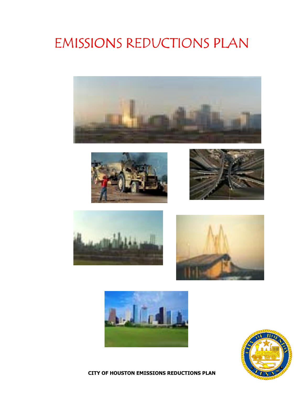# **EMISSIONS REDUCTIONS PLAN**















**CITY OF HOUSTON EMISSIONS REDUCTIONS PLAN**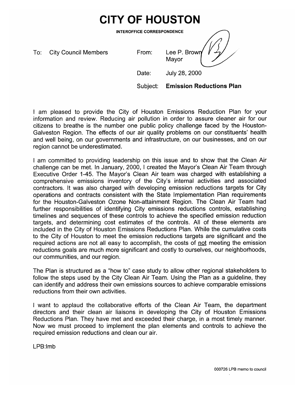# **CITY OF HOUSTON**

**INTEROFFICE CORRESPONDENCE** 

To: **City Council Members**  From:

Lee P. Brown

Date:

July 28, 2000

Mayor

Subject: **Emission Reductions Plan** 

I am pleased to provide the City of Houston Emissions Reduction Plan for your information and review. Reducing air pollution in order to assure cleaner air for our citizens to breathe is the number one public policy challenge faced by the Houston-Galveston Region. The effects of our air quality problems on our constituents' health and well being, on our governments and infrastructure, on our businesses, and on our region cannot be underestimated.

I am committed to providing leadership on this issue and to show that the Clean Air challenge can be met. In January, 2000, I created the Mayor's Clean Air Team through Executive Order 1-45. The Mayor's Clean Air team was charged with establishing a comprehensive emissions inventory of the City's internal activities and associated contractors. It was also charged with developing emission reductions targets for City operations and contracts consistent with the State Implementation Plan requirements for the Houston-Galveston Ozone Non-attainment Region. The Clean Air Team had further responsibilities of identifying City emissions reductions controls, establishing timelines and sequences of these controls to achieve the specified emission reduction targets, and determining cost estimates of the controls. All of these elements are included in the City of Houston Emissions Reductions Plan. While the cumulative costs to the City of Houston to meet the emission reductions targets are significant and the required actions are not all easy to accomplish, the costs of not meeting the emission reductions goals are much more significant and costly to ourselves, our neighborhoods, our communities, and our region.

The Plan is structured as a "how to" case study to allow other regional stakeholders to follow the steps used by the City Clean Air Team. Using the Plan as a guideline, they can identify and address their own emissions sources to achieve comparable emissions reductions from their own activities.

I want to applaud the collaborative efforts of the Clean Air Team, the department directors and their clean air liaisons in developing the City of Houston Emissions Reductions Plan. They have met and exceeded their charge, in a most timely manner. Now we must proceed to implement the plan elements and controls to achieve the required emission reductions and clean our air.

LPB:Imb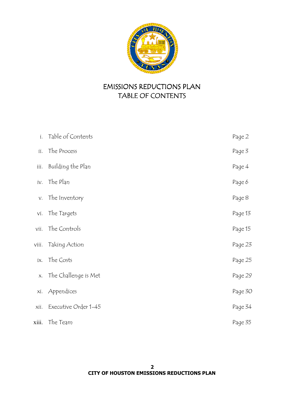

# **EMISSIONS REDUCTIONS PLAN** TABLE OF CONTENTS

| İ.    | Table of Contents    | Page 2  |
|-------|----------------------|---------|
| ii.   | The Process          | Page 3  |
| ijі.  | Building the Plan    | Page 4  |
|       | iv. The Plan         | Page 6  |
| V.    | The Inventory        | Page 8  |
| vi.   | The Targets          | Page 13 |
| vii.  | The Controls         | Page 15 |
| viii. | Taking Action        | Page 23 |
| ix.   | The Costs            | Page 25 |
| X.    | The Challenge is Met | Page 29 |
| xi.   | Appendices           | Page 30 |
| xii.  | Executive Order 1-45 | Page 34 |
| xiii. | The Team             | Page 35 |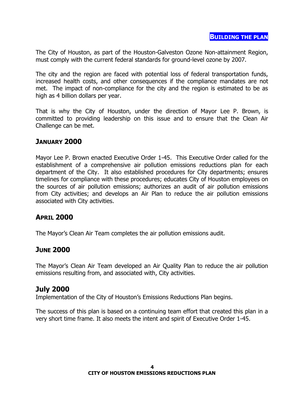The City of Houston, as part of the Houston-Galveston Ozone Non-attainment Region, must comply with the current federal standards for ground-level ozone by 2007.

The city and the region are faced with potential loss of federal transportation funds, increased health costs, and other consequences if the compliance mandates are not met. The impact of non-compliance for the city and the region is estimated to be as high as 4 billion dollars per year.

That is why the City of Houston, under the direction of Mayor Lee P. Brown, is committed to providing leadership on this issue and to ensure that the Clean Air Challenge can be met.

# **JANUARY 2000**

Mayor Lee P. Brown enacted Executive Order 1-45. This Executive Order called for the establishment of a comprehensive air pollution emissions reductions plan for each department of the City. It also established procedures for City departments; ensures timelines for compliance with these procedures; educates City of Houston employees on the sources of air pollution emissions; authorizes an audit of air pollution emissions from City activities; and develops an Air Plan to reduce the air pollution emissions associated with City activities.

# **APRIL 2000**

The Mayor's Clean Air Team completes the air pollution emissions audit.

# **JUNE 2000**

The Mayor's Clean Air Team developed an Air Quality Plan to reduce the air pollution emissions resulting from, and associated with, City activities.

# **July 2000**

Implementation of the City of Houston's Emissions Reductions Plan begins.

The success of this plan is based on a continuing team effort that created this plan in a very short time frame. It also meets the intent and spirit of Executive Order 1-45.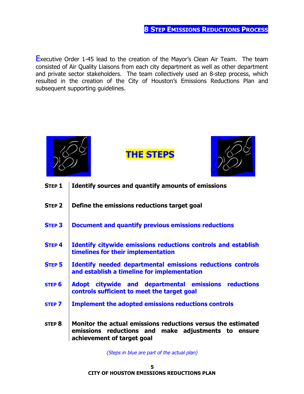**Executive Order 1-45 lead to the creation of the Mayor's Clean Air Team.** The team consisted of Air Quality Liaisons from each city department as well as other department and private sector stakeholders. The team collectively used an 8-step process, which resulted in the creation of the City of Houston's Emissions Reductions Plan and subsequent supporting quidelines.



(Steps in blue are part of the actual plan)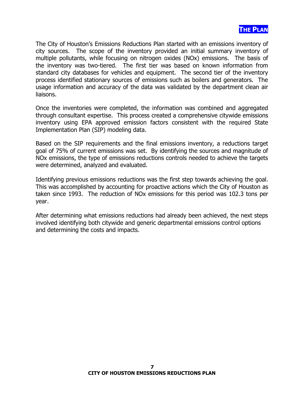

The City of Houston's Emissions Reductions Plan started with an emissions inventory of city sources. The scope of the inventory provided an initial summary inventory of multiple pollutants, while focusing on nitrogen oxides (NOx) emissions. The basis of the inventory was two-tiered. The first tier was based on known information from standard city databases for vehicles and equipment. The second tier of the inventory process identified stationary sources of emissions such as boilers and generators. The usage information and accuracy of the data was validated by the department clean air liaisons.

Once the inventories were completed, the information was combined and aggregated through consultant expertise. This process created a comprehensive citywide emissions inventory using EPA approved emission factors consistent with the required State Implementation Plan (SIP) modeling data.

Based on the SIP requirements and the final emissions inventory, a reductions target goal of 75% of current emissions was set. By identifying the sources and magnitude of NO<sub>x</sub> emissions, the type of emissions reductions controls needed to achieve the targets were determined, analyzed and evaluated.

Identifying previous emissions reductions was the first step towards achieving the goal. This was accomplished by accounting for proactive actions which the City of Houston as taken since 1993. The reduction of NO<sub>x</sub> emissions for this period was 102.3 tons per year.

After determining what emissions reductions had already been achieved, the next steps involved identifying both citywide and generic departmental emissions control options and determining the costs and impacts.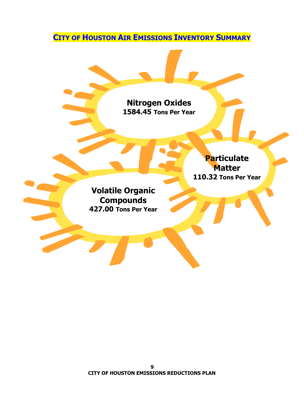**CITY OF HOUSTON AIR EMISSIONS INVENTORY SUMMARY** 

**Nitrogen Oxides** 1584.45 Tons Per Year Particulate **Matter** 110.32 Tons Per Year **Volatile Organic Compounds** 427.00 Tons Per Year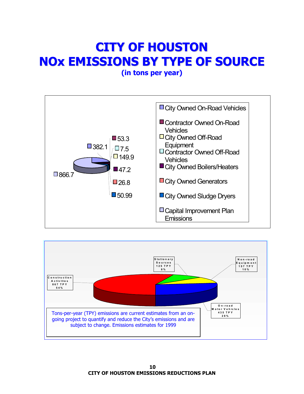# **CITY OF HOUSTON NOX EMISSIONS BY TYPE OF SOURCE**

(in tons per year)



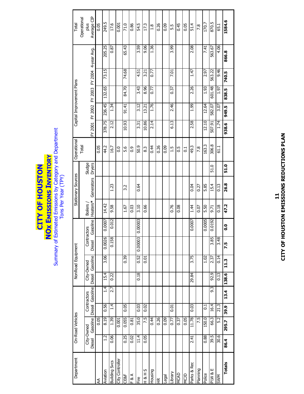# **NOX EMISSIONS INVENTORY**<br>Summary of Estimated Emissions by Category and Department CITY OF HOUSTON

| Department               |               | On-Road Vehicles |               |                 |        | NonRoad Equipment |               |          |                | <b>Stationary Sources</b> |        | Operational    |         |         | Capital Improvement Plans |        |                     | Total         |
|--------------------------|---------------|------------------|---------------|-----------------|--------|-------------------|---------------|----------|----------------|---------------------------|--------|----------------|---------|---------|---------------------------|--------|---------------------|---------------|
|                          |               |                  |               |                 |        |                   |               |          |                |                           |        | Total          |         |         |                           |        |                     | Operational   |
|                          | City-Owned    |                  |               | Contractors     |        | City-Owned        | Contractors   |          | <b>Boilers</b> |                           | Sludge |                |         |         |                           |        |                     | plus          |
|                          | <b>Diesel</b> | Gasoline         |               | Diesel Gasoline | Diesel | Gasoline          | <b>Diesel</b> | Gasoline | Heaters*       | Generators                | Dryers |                | FY 2001 | FY 2002 | FY 2003                   |        | FY 2004 4-year Avg. | Average CIP   |
| ≸                        |               | 0.05             |               |                 |        |                   |               |          |                |                           |        | 0.05           |         |         |                           |        |                     | 0.05          |
| Aviation                 | $\frac{2}{1}$ | 8.19             | 0.56          | 1.4             | 15.4   | 3.06              | 0.0026        | 0.0007   | 14.42          |                           |        | 44.2           | 378.75  | 236.45  | 132.65                    | 73.15  | 205.25              | 249.5         |
| <b>Building Svcs</b>     | 0.06          | 1.39             | $\frac{4}{1}$ | 2.7             | 0.22   |                   | 0.158         | 0.012    | 9.58           | 1.23                      |        | 16.7           | 2.12    | 1.34    |                           |        | 0.87                | 17.6          |
| <b>Controller</b>        |               | 0.001            |               |                 |        |                   |               |          |                |                           |        | o.o            |         |         |                           |        |                     | 0.001         |
| <b>CE&amp;F</b>          | 0.25          | 0.055            | 0.05          |                 |        | 0.39              |               |          | 1.67           | 3.2                       |        | ن<br>م         | 10.93   | 91.41   | 84.70                     | 74.68  | 65.43               | 71.0          |
| & A                      | 0.02          | 0.81             |               |                 |        |                   |               |          | 0.03           |                           |        | 0.9            |         |         |                           |        |                     | 0.86          |
| ە<br>Ti                  | 11.4          | 35.0             | 0.03          |                 | 0.18   | 0.52              | 0.00003       | 1.00003  | 3.10           | 0.64                      |        | 50.9           | 3.31    | 3.12    | 3.43                      | 4.51   | 3.59                | 54.5          |
| $-18HS$                  | 0.05          | 7.5              | 0.02          |                 |        | 0.01              |               |          | 0.66           |                           |        | 83             | 10.86   | 13.21   | 8.96                      | 3.21   | 9.06                | 17.3          |
| <b>Puising</b>           |               | 0.44             |               |                 |        |                   |               |          |                |                           |        | 0.44           | 2.14    | 1.76    | 0.77                      | 5.D    | 1.36                | $\frac{8}{1}$ |
| $\widetilde{\mathbb{E}}$ |               | 0.26             |               |                 |        |                   |               |          |                |                           |        | 0.26           |         |         |                           |        |                     | 0.26          |
| -egal                    |               | 0.09             |               |                 |        |                   |               |          |                |                           |        | 0.09           |         |         |                           |        |                     | 0.09          |
| Library                  |               | 0.77             | 0.01          |                 |        |                   |               |          | 0.76           |                           |        | $\frac{5}{11}$ | 6.13    | 2.46    | 0.37                      | 7.01   | 3.99                | 5.5           |
| <b>MCAD</b>              |               | 0.37             |               |                 |        |                   |               |          | 0.08           |                           |        | S.O            |         |         |                           |        |                     | 0.45          |
| NCJD                     |               | 0.05             |               |                 |        |                   |               |          |                |                           |        | 5              |         |         |                           |        |                     | 0.05          |
| Parks & Rec              | 2.41          | 11.78            | 0.03          |                 | 29.84  | 3.75              |               | 0.0007   | 1.4            | 0.04                      |        | 49.3           | 2.58    | 1.99    | 2.26                      | 1.47   | 2.08                | 51.4          |
| Planning                 |               | 7.5              |               |                 |        |                   |               |          | 0.07           | 0.27                      |        | 7.8            |         |         |                           |        |                     | 7.8           |
| Police                   | 0.88          | 150.0            | $\vec{c}$     |                 |        | 1.02              |               | 0.0005   | 5.50           | 5.85                      |        | 163.3          | 12.10   | 12.64   | 1.93                      | 2.97   | 7.41                | 170.7         |
| $\exists$ & M/c          | 39.5          | 66.3             | 16.4          | 9.3             | 92.9   | 2.37              | 3.85          | 0.0192   | 9.71           | 15.4                      | 51.0   | 306.8          | 507.91  | 582.07  | 601.48                    | 563.22 | 563.67              | 870.5         |
| SWM                      | 30.6          | 5.2              | 21.3          |                 | 0.13   | 0.14              | 3.48          |          | 0.18           | 0.13                      |        | 61.1           | 1.74    | 3.07    | 1.97                      | 9.46   | 4.06                | 65.1          |
| <b>Totals</b>            | 86.4          | 295.7            | 39.9          | 13.4            | 138.6  | 11.3              | 7.5           | o.o      | 47.2           | 26.8                      | 51.0   |                | 938.6   | 949.5   | 838.5                     | 740.5  | 866.8               | 1584.6        |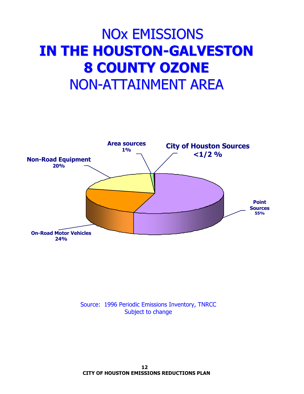# **NO<sub>X</sub> EMISSIONS IN THE HOUSTON-GALVESTON 8 COUNTY OZONE NON-ATTAINMENT AREA**



Source: 1996 Periodic Emissions Inventory, TNRCC Subject to change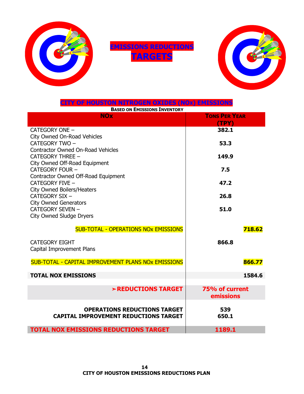

**EMISSIONS REDUCTIONS TARGETS** 



| CITY OF HOUSTON NITROGEN OXIDES (NOx) EMISSIONS            |                      |
|------------------------------------------------------------|----------------------|
| <b>BASED ON EMISSIONS INVENTORY</b>                        |                      |
| <b>NOx</b>                                                 | <b>TONS PER YEAR</b> |
|                                                            | (TPY)                |
| CATEGORY ONE -                                             | 382.1                |
| City Owned On-Road Vehicles                                |                      |
| CATEGORY TWO -                                             | 53.3                 |
| <b>Contractor Owned On-Road Vehicles</b>                   |                      |
| <b>CATEGORY THREE -</b>                                    | 149.9                |
| City Owned Off-Road Equipment                              |                      |
| <b>CATEGORY FOUR -</b>                                     | 7.5                  |
| Contractor Owned Off-Road Equipment                        |                      |
| CATEGORY FIVE -                                            | 47.2                 |
| <b>City Owned Boilers/Heaters</b>                          |                      |
| CATEGORY SIX -                                             | 26.8                 |
| <b>City Owned Generators</b>                               |                      |
| <b>CATEGORY SEVEN -</b>                                    | 51.0                 |
| <b>City Owned Sludge Dryers</b>                            |                      |
|                                                            |                      |
| <b>SUB-TOTAL - OPERATIONS NOX EMISSIONS</b>                | 718.62               |
| <b>CATEGORY EIGHT</b>                                      | 866.8                |
|                                                            |                      |
| Capital Improvement Plans                                  |                      |
| <b>SUB-TOTAL - CAPITAL IMPROVEMENT PLANS NOX EMISSIONS</b> | 866.77               |
|                                                            |                      |
| <b>TOTAL NOX EMISSIONS</b>                                 | 1584.6               |
|                                                            |                      |
| >REDUCTIONS TARGET                                         | 75% of current       |
|                                                            | emissions            |
|                                                            |                      |
| <b>OPERATIONS REDUCTIONS TARGET</b>                        | 539                  |
| <b>CAPITAL IMPROVEMENT REDUCTIONS TARGET</b>               | 650.1                |
| <b>TOTAL NOX EMISSIONS REDUCTIONS TARGET</b>               | 1189.1               |
|                                                            |                      |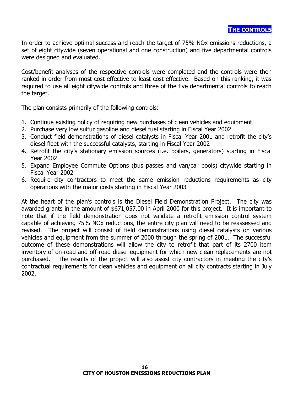In order to achieve optimal success and reach the target of 75% NO<sub>x</sub> emissions reductions, a set of eight citywide (seven operational and one construction) and five departmental controls were designed and evaluated.

Cost/benefit analyses of the respective controls were completed and the controls were then ranked in order from most cost effective to least cost effective. Based on this ranking, it was required to use all eight citywide controls and three of the five departmental controls to reach the target.

The plan consists primarily of the following controls:

- 1. Continue existing policy of requiring new purchases of clean vehicles and equipment
- 2. Purchase very low sulfur gasoline and diesel fuel starting in Fiscal Year 2002
- 3. Conduct field demonstrations of diesel catalysts in Fiscal Year 2001 and retrofit the city's diesel fleet with the successful catalysts, starting in Fiscal Year 2002
- 4. Retrofit the city's stationary emission sources (i.e. boilers, generators) starting in Fiscal Year 2002
- 5. Expand Employee Commute Options (bus passes and van/car pools) citywide starting in Fiscal Year 2002
- 6. Require city contractors to meet the same emission reductions requirements as city operations with the major costs starting in Fiscal Year 2003

At the heart of the plan's controls is the Diesel Field Demonstration Project. The city was awarded grants in the amount of \$671,057.00 in April 2000 for this project. It is important to note that if the field demonstration does not validate a retrofit emission control system capable of achieving 75% NOx reductions, the entire city plan will need to be reassessed and revised. The project will consist of field demonstrations using diesel catalysts on various vehicles and equipment from the summer of 2000 through the spring of 2001. The successful outcome of these demonstrations will allow the city to retrofit that part of its 2700 item inventory of on-road and off-road diesel equipment for which new clean replacements are not The results of the project will also assist city contractors in meeting the city's purchased. contractual requirements for clean vehicles and equipment on all city contracts starting in July 2002.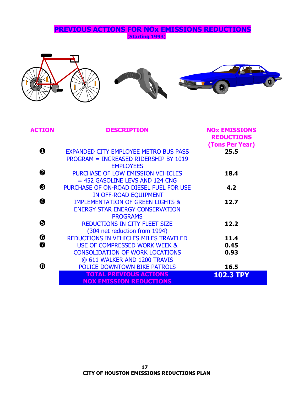**PREVIOUS ACTIONS FOR NOX EMISSIONS REDUCTIONS** (Starting 1993)







| <b>ACTION</b> | <b>DESCRIPTION</b>                                                                                        | <b>NOX EMISSIONS</b><br><b>REDUCTIONS</b><br>(Tons Per Year) |
|---------------|-----------------------------------------------------------------------------------------------------------|--------------------------------------------------------------|
| 0             | <b>EXPANDED CITY EMPLOYEE METRO BUS PASS</b><br>PROGRAM = INCREASED RIDERSHIP BY 1019<br><b>EMPLOYEES</b> | 25.5                                                         |
| ❷             | PURCHASE OF LOW EMISSION VEHICLES<br>$= 452$ GASOLINE LEVS AND 124 CNG                                    | 18.4                                                         |
| ❸             | PURCHASE OF ON-ROAD DIESEL FUEL FOR USE<br>IN OFF-ROAD EQUIPMENT                                          | 4.2                                                          |
| ❹             | <b>IMPLEMENTATION OF GREEN LIGHTS &amp;</b><br><b>ENERGY STAR ENERGY CONSERVATION</b><br><b>PROGRAMS</b>  | 12.7                                                         |
| ❺             | <b>REDUCTIONS IN CITY FLEET SIZE</b><br>(304 net reduction from 1994)                                     | 12.2                                                         |
| ❻             | REDUCTIONS IN VEHICLES MILES TRAVELED                                                                     | 11.4                                                         |
| ❼             | USE OF COMPRESSED WORK WEEK &                                                                             | 0.45                                                         |
|               | <b>CONSOLIDATION OF WORK LOCATIONS</b><br>@ 611 WALKER AND 1200 TRAVIS                                    | 0.93                                                         |
| ❸             | <b>POLICE DOWNTOWN BIKE PATROLS</b>                                                                       | 16.5                                                         |
|               | <b>TOTAL PREVIOUS ACTIONS</b><br><b>NOX EMISSION REDUCTIONS</b>                                           | <b>102.3 TPY</b>                                             |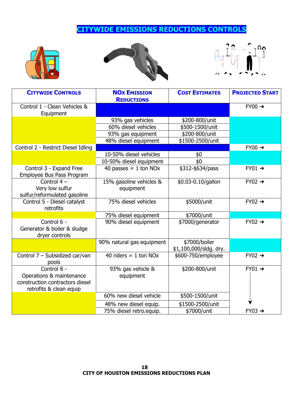# **CITYWIDE EMISSIONS REDUCTIONS CONTROLS**







| <b>CITYWIDE CONTROLS</b>                                                                              | <b>NOX EMISSION</b><br><b>REDUCTIONS</b> | <b>COST ESTIMATES</b>                   | <b>PROJECTED START</b> |
|-------------------------------------------------------------------------------------------------------|------------------------------------------|-----------------------------------------|------------------------|
| Control 1 - Clean Vehicles &<br>Equipment                                                             |                                          |                                         | $FY00 \rightarrow$     |
|                                                                                                       | 93% gas vehicles                         | \$200-800/unit                          |                        |
|                                                                                                       | 60% diesel vehicles                      | \$500-1500/unit                         |                        |
|                                                                                                       | 93% gas equipment                        | \$200-800/unit                          |                        |
|                                                                                                       | 48% diesel equipment                     | \$1500-2500/unit                        |                        |
| Control 2 - Restrict Diesel Idling                                                                    |                                          |                                         | $FY00 \rightarrow$     |
|                                                                                                       | 10-50% diesel vehicles                   | \$0                                     |                        |
|                                                                                                       | 10-50% diesel equipment                  | \$0                                     |                        |
| Control 3 - Expand Free<br>Employee Bus Pass Program                                                  | 40 passes = $1$ ton NOx                  | \$312-\$634/pass                        | $FY01 \rightarrow$     |
| Control $4-$<br>Very low sulfur<br>sulfur/reformulated gasoline                                       | 15% gasoline vehicles &<br>equipment     | \$0.03-0.10/gallon                      | $FY02 \rightarrow$     |
| Control 5 - Diesel catalyst<br>retrofits                                                              | 75% diesel vehicles                      | \$5000/unit                             | $FY02 \rightarrow$     |
|                                                                                                       | 75% diesel equipment                     | \$7000/unit                             |                        |
| Control 6 -<br>Generator & boiler & sludge<br>dryer controls                                          | 90% diesel equipment                     | \$7000/generator                        | $FY02 \rightarrow$     |
|                                                                                                       | 90% natural gas equipment                | \$7000/boiler<br>\$1,100,000/sldg. dry. |                        |
| Control 7 - Subsidized car/van<br>pools                                                               | 40 riders $= 1$ ton NOx                  | \$600-750/employee                      | $FY02 \rightarrow$     |
| Control 8 -<br>Operations & maintenance<br>construction contractors diesel<br>retrofits & clean equip | 93% gas vehicle &<br>equipment           | \$200-800/unit                          | $FY01 \rightarrow$     |
|                                                                                                       | 60% new diesel vehicle                   | \$500-1500/unit                         |                        |
|                                                                                                       | 48% new diesel equip.                    | \$1500-2500/unit                        |                        |
|                                                                                                       | 75% diesel retro.equip.                  | \$7000/unit                             | $FY03 \rightarrow$     |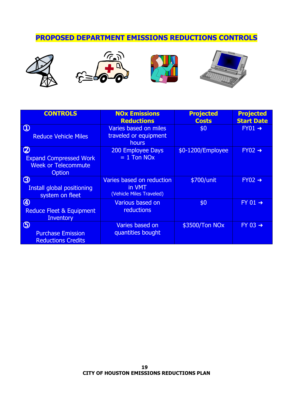# PROPOSED DEPARTMENT EMISSIONS REDUCTIONS CONTROLS









| <b>CONTROLS</b>                                                                      | <b>NOx Emissions</b><br><b>Reductions</b>                       | <b>Projected</b><br><b>Costs</b> | <b>Projected</b><br><b>Start Date</b> |
|--------------------------------------------------------------------------------------|-----------------------------------------------------------------|----------------------------------|---------------------------------------|
| $\circled{0}$<br><b>Reduce Vehicle Miles</b>                                         | Varies based on miles<br>traveled or equipment<br>hours         | \$0                              | $FY01 \rightarrow$                    |
| $\circledR$<br><b>Expand Compressed Work</b><br><b>Week or Telecommute</b><br>Option | 200 Employee Days<br>$= 1$ Ton NO <sub>x</sub>                  | \$0-1200/Employee                | $FY02 \rightarrow$                    |
| $\circledS$<br>Install global positioning<br>system on fleet                         | Varies based on reduction<br>in VMT<br>(Vehicle Miles Traveled) | \$700/unit                       | $FY02 \rightarrow$                    |
| $\bigcirc$<br><b>Reduce Fleet &amp; Equipment</b><br><b>Inventory</b>                | Various based on<br>reductions                                  | \$0                              | $FY$ 01 $\rightarrow$                 |
| $\circledS$<br><b>Purchase Emission</b><br><b>Reductions Credits</b>                 | Varies based on<br>quantities bought                            | \$3500/Ton NO <sub>x</sub>       | $FY$ 03 $\rightarrow$                 |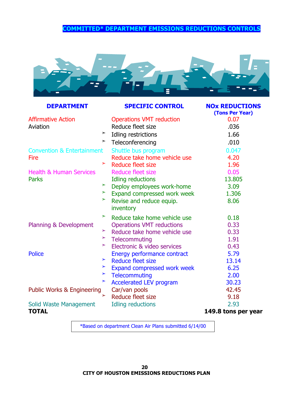# **COMMITTED\* DEPARTMENT EMISSIONS REDUCTIONS CONTROLS**



| <b>DEPARTMENT</b>                     |        | <b>SPECIFIC CONTROL</b>               | <b>NOx REDUCTIONS</b><br>(Tons Per Year) |
|---------------------------------------|--------|---------------------------------------|------------------------------------------|
| <b>Affirmative Action</b>             |        | <b>Operations VMT reduction</b>       | 0.07                                     |
| Aviation                              |        | Reduce fleet size                     | .036                                     |
|                                       | $\geq$ | Idling restrictions                   | 1.66                                     |
|                                       |        | $\geq$ Teleconferencing               | .010                                     |
| <b>Convention &amp; Entertainment</b> |        | Shuttle bus program                   | 0.047                                    |
| <b>Fire</b>                           |        | Reduce take home vehicle use          | 4.20                                     |
|                                       | $\geq$ | Reduce fleet size                     | 1.96                                     |
| <b>Health &amp; Human Services</b>    |        | <b>Reduce fleet size</b>              | 0.05                                     |
| <b>Parks</b>                          |        | Idling reductions                     | 13.805                                   |
|                                       | $\geq$ | Deploy employees work-home            | 3.09                                     |
|                                       | $\geq$ | Expand compressed work week           | 1.306                                    |
|                                       | $\geq$ | Revise and reduce equip.<br>inventory | 8.06                                     |
|                                       | $\geq$ | Reduce take home vehicle use          | 0.18                                     |
| Planning & Development                |        | <b>Operations VMT reductions</b>      | 0.33                                     |
|                                       | ➤      | Reduce take home vehicle use          | 0.33                                     |
|                                       |        | $\geq$ Telecommuting                  | 1.91                                     |
|                                       | $\geq$ | Electronic & video services           | 0.43                                     |
| <b>Police</b>                         |        | Energy performance contract           | 5.79                                     |
|                                       | $\geq$ | <b>Reduce fleet size</b>              | 13.14                                    |
|                                       | $\geq$ | Expand compressed work week           | 6.25                                     |
|                                       | $\geq$ | <b>Telecommuting</b>                  | 2.00                                     |
|                                       | $\geq$ | <b>Accelerated LEV program</b>        | 30.23                                    |
| <b>Public Works &amp; Engineering</b> |        | Car/van pools                         | 42.45                                    |
|                                       | $\geq$ | Reduce fleet size                     | 9.18                                     |
| Solid Waste Management                |        | <b>Idling reductions</b>              | 2.93                                     |
| <b>TOTAL</b>                          |        |                                       | 149.8 tons per year                      |

\*Based on department Clean Air Plans submitted 6/14/00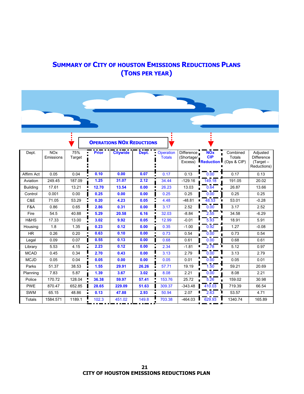# **SUMMARY OF CITY OF HOUSTON EMISSIONS REDUCTIONS PLANS (TONS PER YEAR)**

|                 |                                    |               |              | <b>OPERATIONS NOX REDUCTIONS</b> |       |                            |                          |                                               |                                          |                                                             |
|-----------------|------------------------------------|---------------|--------------|----------------------------------|-------|----------------------------|--------------------------|-----------------------------------------------|------------------------------------------|-------------------------------------------------------------|
| Dept.           | <b>NO<sub>x</sub></b><br>Emissions | 75%<br>Target | <b>Prior</b> | <b>Citywide</b>                  | Dept. | Operation<br><b>Totals</b> | Difference<br>(Shortage/ | <b>NOx</b><br>CIP<br>Excess) <b>Reduction</b> | Combined<br><b>Totals</b><br>(Ops & CIP) | Adjusted<br><b>Difference</b><br>$(Target -$<br>Reductions) |
| Affirm Act      | 0.05                               | 0.04          | 0.10         | 0.00                             | 0.07  | 0.17                       | 0.13                     | 0.00                                          | 0.17                                     | 0.13                                                        |
| Aviation        | 249.45                             | 187.09        | 1.25         | 31.07                            | 2.12  | 34.44                      | $-129.16$                | 149.18                                        | 191.05                                   | 20.02                                                       |
| <b>Building</b> | 17.61                              | 13.21         | 12.70        | 13.54                            | 0.00  | 26.23                      | 13.03                    | 0.64                                          | 26.87                                    | 13.66                                                       |
| Control         | 0.001                              | 0.00          | 0.25         | 0.00                             | 0.00  | 0.25                       | 0.25                     | 0.00                                          | 0.25                                     | 0.25                                                        |
| C&E             | 71.05                              | 53.29         | 0.20         | 4.23                             | 0.05  | Ξ<br>4.48                  | $-48.81$                 | 48.53<br>$\blacksquare$                       | 53.01                                    | $-0.28$                                                     |
| F&A             | 0.86                               | 0.65          | 2.86         | 0.31                             | 0.00  | 3.17                       | 2.52                     | 0.00                                          | 3.17                                     | 2.52                                                        |
| Fire            | 54.5                               | 40.88         | 5.29         | 20.58                            | 6.16  | 32.03                      | $-8.84$                  | 2.55                                          | 34.58                                    | $-6.29$                                                     |
| H&HS            | 17.33                              | 13.00         | 3.02         | 9.92                             | 0.05  | 12.99                      | $-0.01$                  | 5.93                                          | 18.91                                    | 5.91                                                        |
| Housing         | 1.8                                | 1.35          | 0.23         | 0.12                             | 0.00  | 0.35                       | $-1.00$                  | 0.92                                          | 1.27                                     | $-0.08$                                                     |
| <b>HR</b>       | 0.26                               | 0.20          | 0.63         | 0.10                             | 0.00  | 0.73                       | 0.54                     | 0.00                                          | 0.73                                     | 0.54                                                        |
| Legal           | 0.09                               | 0.07          | 0.55         | 0.13                             | 0.00  | 0.68                       | 0.61                     | 0.00                                          | 0.68                                     | 0.61                                                        |
| Library         | 5.53                               | 4.15          | 2.23         | 0.12                             | 0.00  | 2.34                       | $-1.81$                  | 2.78<br>П                                     | 5.12                                     | 0.97                                                        |
| <b>MCAD</b>     | 0.45                               | 0.34          | 2.70         | 0.43                             | 0.00  | 3.13                       | 2.79                     | 0.00                                          | 3.13                                     | 2.79                                                        |
| <b>MCJD</b>     | 0.05                               | 0.04          | 0.05         | 0.00                             | 0.00  | 0.05                       | 0.01                     | 0.00                                          | 0.05                                     | 0.01                                                        |
| Parks           | 51.37                              | 38.53         | 1.55         | 29.91                            | 26.26 | 57.71                      | 19.19                    | 1.50                                          | 59.21                                    | 20.69                                                       |
| Planning        | 7.83                               | 5.87          | 1.39         | 3.67                             | 3.02  | 8.08                       | 2.21                     | 0.00                                          | 8.08                                     | 2.21                                                        |
| Police          | 170.72                             | 128.04        | 36.38        | 59.97                            | 57.41 | 153.76                     | 25.72                    | 5.26                                          | 159.02                                   | 30.98                                                       |
| <b>PWE</b>      | 870.47                             | 652.85        | 28.65        | 229.09                           | 51.63 | 309.37                     | $-343.48$                | 410.03                                        | 719.39                                   | 66.54                                                       |
| <b>SWM</b>      | 65.15                              | 48.86         | 0.13         | 47.88                            | 2.93  | 50.94                      | 2.07                     | 2.63                                          | 53.57                                    | 4.71                                                        |
| Totals          | 1584.571                           | 1189.1        | 102.3        | 451.02                           | 149.8 | 703.38                     | $-464.03$                | 629.93                                        | 1340.74                                  | 165.89                                                      |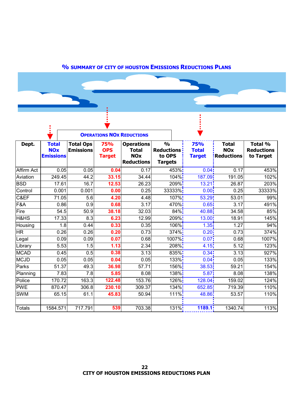# **% SUMMARY OF CITY OF HOUSTON EMISSIONS REDUCTIONS PLANS**

|                 | $\blacksquare$                                 |                                      |                                           | <b>OPERATIONS NOX REDUCTIONS</b>                                     |                                                                 |                                      |                                                            |                                           |
|-----------------|------------------------------------------------|--------------------------------------|-------------------------------------------|----------------------------------------------------------------------|-----------------------------------------------------------------|--------------------------------------|------------------------------------------------------------|-------------------------------------------|
| Dept.           | <b>Total</b><br><b>NOx</b><br><b>Emissions</b> | <b>Total Ops</b><br><b>Emissions</b> | <b>75%</b><br><b>OPS</b><br><b>Target</b> | <b>Operations</b><br><b>Total</b><br><b>NOx</b><br><b>Reductions</b> | $\frac{0}{0}$<br><b>Reductions:</b><br>to OPS<br><b>Targets</b> | 75%<br><b>Total</b><br><b>Target</b> | <b>Total</b><br><b>NO<sub>x</sub></b><br><b>Reductions</b> | Total %<br><b>Reductions</b><br>to Target |
| Affirm Act      | 0.05                                           | 0.05                                 | 0.04                                      | 0.17                                                                 | $453\%$                                                         | 0.04:                                | 0.17                                                       | 453%                                      |
| Aviation        | 249.45                                         | 44.2                                 | 33.15                                     | 34.44                                                                | 104% <sup>!</sup>                                               | 187.09                               | 191.05                                                     | 102%                                      |
| <b>BSD</b>      | 17.61                                          | 16.7                                 | 12.53                                     | 26.23                                                                | $209\%$                                                         | 13.21:                               | 26.87                                                      | 203%                                      |
| Control         | 0.001                                          | 0.001                                | 0.00                                      | 0.25                                                                 | 33333%                                                          | 0.00:                                | 0.25                                                       | 33333%                                    |
| C&EF            | 71.05                                          | 5.6                                  | 4.20                                      | 4.48                                                                 | $107\%$                                                         | 53.29                                | 53.01                                                      | 99%                                       |
| F&A             | 0.86                                           | 0.9                                  | 0.68                                      | 3.17                                                                 | $470\%$                                                         | 0.65:                                | 3.17                                                       | 491%                                      |
| Fire            | 54.5                                           | 50.9                                 | 38.18                                     | 32.03                                                                | 84%                                                             | 40.88                                | 34.58                                                      | 85%                                       |
| <b>H&amp;HS</b> | 17.33                                          | 8.3                                  | 6.23                                      | 12.99                                                                | $209\%$                                                         | 13.00:                               | 18.91                                                      | 145%                                      |
| Housing         | 1.8                                            | 0.44                                 | 0.33                                      | 0.35                                                                 | 106% <sup>!</sup>                                               | 1.35:                                | 1.27                                                       | 94%                                       |
| <b>HR</b>       | 0.26                                           | 0.26                                 | 0.20                                      | 0.73                                                                 | $374\%$                                                         | 0.20                                 | 0.73                                                       | 374%                                      |
| Legal           | 0.09                                           | 0.09                                 | 0.07                                      | 0.68                                                                 | $1007\%$                                                        | 0.07 <sub>i</sub>                    | 0.68                                                       | 1007%                                     |
| Library         | 5.53                                           | 1.5                                  | 1.13                                      | 2.34                                                                 | 208%                                                            | 4.15                                 | 5.12                                                       | 123%                                      |
| <b>MCAD</b>     | 0.45                                           | 0.5                                  | 0.38                                      | 3.13                                                                 | $835\%$                                                         | 0.34:                                | 3.13                                                       | 927%                                      |
| MCJD            | 0.05                                           | 0.05                                 | 0.04                                      | 0.05                                                                 | $133\%$ :                                                       | 0.04:                                | 0.05                                                       | 133%                                      |
| Parks           | 51.37                                          | 49.3                                 | 36.98                                     | 57.71                                                                | 156%;                                                           | 38.53                                | 59.21                                                      | 154%                                      |
| Planning        | $\overline{7.83}$                              | $\overline{7.8}$                     | 5.85                                      | 8.08                                                                 | $138\%$                                                         | 5.87 <sub>1</sub>                    | 8.08                                                       | 138%                                      |
| Police          | 170.72                                         | 163.3                                | 122.48                                    | 153.76                                                               | 126%;                                                           | 128.04                               | 159.02                                                     | 124%                                      |
| <b>PWE</b>      | 870.47                                         | 306.8                                | 230.10                                    | 309.37                                                               | $134\%$                                                         | 652.85                               | 719.39                                                     | 110%                                      |
| <b>SWM</b>      | 65.15                                          | 61.1                                 | 45.83                                     | 50.94                                                                | $111\%$                                                         | 48.86                                | 53.57                                                      | 110%                                      |
|                 |                                                |                                      |                                           |                                                                      |                                                                 |                                      |                                                            |                                           |
| <b>Totals</b>   | 1584.571                                       | 717.791                              | 539                                       | 703.38                                                               | $131\%$ :                                                       | 1189.1                               | 1340.74                                                    | 113%                                      |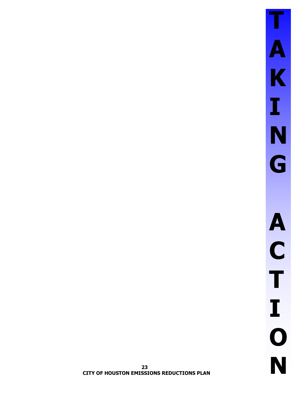23 **CITY OF HOUSTON EMISSIONS REDUCTIONS PLAN**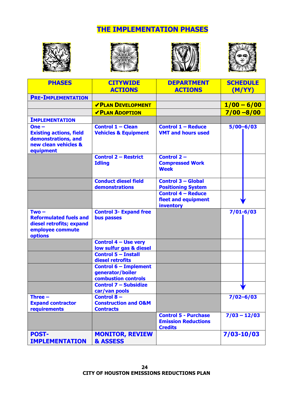# **THE IMPLEMENTATION PHASES**









| <b>PHASES</b>                                                                                         | <b>CITYWIDE</b>                                                         | <b>DEPARTMENT</b>                                                           | <b>SCHEDULE</b> |
|-------------------------------------------------------------------------------------------------------|-------------------------------------------------------------------------|-----------------------------------------------------------------------------|-----------------|
|                                                                                                       | <b>ACTIONS</b>                                                          | <b>ACTIONS</b>                                                              | (M/YY)          |
| <b>PRE-IMPLEMENTATION</b>                                                                             |                                                                         |                                                                             |                 |
|                                                                                                       | <b>VPLAN DEVELOPMENT</b>                                                |                                                                             | $1/00 - 6/00$   |
|                                                                                                       | <b>VPLAN ADOPTION</b>                                                   |                                                                             | $7/00 - 8/00$   |
| <b>IMPLEMENTATION</b>                                                                                 |                                                                         |                                                                             |                 |
| $One -$<br><b>Existing actions, field</b><br>demonstrations, and<br>new clean vehicles &<br>equipment | <b>Control 1 - Clean</b><br><b>Vehicles &amp; Equipment</b>             | <b>Control 1 - Reduce</b><br><b>VMT and hours used</b>                      | $5/00 - 6/03$   |
|                                                                                                       | <b>Control 2 - Restrict</b><br><b>Idling</b>                            | Control 2-<br><b>Compressed Work</b><br><b>Week</b>                         |                 |
|                                                                                                       | <b>Conduct diesel field</b><br>demonstrations                           | <b>Control 3 - Global</b><br><b>Positioning System</b>                      |                 |
|                                                                                                       |                                                                         | <b>Control 4 - Reduce</b><br>fleet and equipment<br>inventory               |                 |
| $Two -$<br><b>Reformulated fuels and</b><br>diesel retrofits; expand<br>employee commute<br>options   | <b>Control 3- Expand free</b><br>bus passes                             |                                                                             | $7/01 - 6/03$   |
|                                                                                                       | <b>Control 4 - Use very</b><br>low sulfur gas & diesel                  |                                                                             |                 |
|                                                                                                       | <b>Control 5 - Install</b><br>diesel retrofits                          |                                                                             |                 |
|                                                                                                       | <b>Control 6 - Implement</b><br>generator/boiler<br>combustion controls |                                                                             |                 |
|                                                                                                       | <b>Control 7 - Subsidize</b><br>car/van pools                           |                                                                             |                 |
| Three $-$<br><b>Expand contractor</b><br>requirements                                                 | Control $8-$<br><b>Construction and O&amp;M</b><br><b>Contracts</b>     |                                                                             | $7/02 - 6/03$   |
|                                                                                                       |                                                                         | <b>Control 5 - Purchase</b><br><b>Emission Reductions</b><br><b>Credits</b> | $7/03 - 12/03$  |
| <b>POST-</b><br><b>IMPLEMENTATION</b>                                                                 | <b>MONITOR, REVIEW</b><br>& ASSESS                                      |                                                                             | 7/03-10/03      |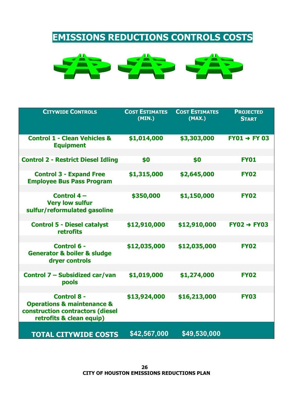# **EMISSIONS REDUCTIONS CONTROLS COSTS**



| <b>CITYWIDE CONTROLS</b>                                                                                                        | <b>COST ESTIMATES</b><br>(MIN.) | <b>COST ESTIMATES</b><br>(MAX.) | <b>PROJECTED</b><br><b>START</b> |
|---------------------------------------------------------------------------------------------------------------------------------|---------------------------------|---------------------------------|----------------------------------|
| <b>Control 1 - Clean Vehicles &amp;</b><br><b>Equipment</b>                                                                     | \$1,014,000                     | \$3,303,000                     | $FY01 \rightarrow FY03$          |
| <b>Control 2 - Restrict Diesel Idling</b>                                                                                       | \$0                             | \$0                             | <b>FY01</b>                      |
| <b>Control 3 - Expand Free</b><br><b>Employee Bus Pass Program</b>                                                              | \$1,315,000                     | \$2,645,000                     | <b>FY02</b>                      |
| Control 4-<br><b>Very low sulfur</b><br>sulfur/reformulated gasoline                                                            | \$350,000                       | \$1,150,000                     | <b>FY02</b>                      |
| <b>Control 5 - Diesel catalyst</b><br><b>retrofits</b>                                                                          | \$12,910,000                    | \$12,910,000                    | $FY02 \rightarrow FY03$          |
| Control 6 -<br><b>Generator &amp; boiler &amp; sludge</b><br>dryer controls                                                     | \$12,035,000                    | \$12,035,000                    | <b>FY02</b>                      |
| Control 7 - Subsidized car/van<br>pools                                                                                         | \$1,019,000                     | \$1,274,000                     | <b>FY02</b>                      |
| <b>Control 8 -</b><br><b>Operations &amp; maintenance &amp;</b><br>construction contractors (diesel<br>retrofits & clean equip) | \$13,924,000                    | \$16,213,000                    | <b>FY03</b>                      |
| <b>TOTAL CITYWIDE COSTS</b>                                                                                                     | \$42,567,000                    | \$49,530,000                    |                                  |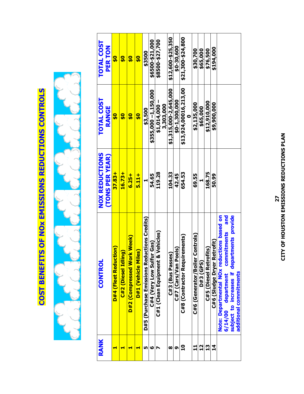# **COST BENEFITS OF NOX EMISSIONS REDUCTIONS CONTROLS**



| RANK | <b>CONTROL</b>                              | <b>NOX REDUCTIONS</b> | <b>TOTAL COST</b>           | <b>TOTAL COST</b> |
|------|---------------------------------------------|-----------------------|-----------------------------|-------------------|
|      |                                             | <b>TONS PER YEAR)</b> | <b>RANGE</b>                | PER TON           |
|      | <b>D#4 (Fleet Reduction)</b>                | $37.83 +$             | $\frac{1}{2}$               | $\frac{1}{2}$     |
|      | $\overline{g}$<br>C#2 (Diesel Idlin         | $16.73 +$             | $\frac{1}{2}$               | $\frac{1}{2}$     |
|      | rk Week)<br><b>D#2 (Compressed Wo</b> )     | $6.25 +$              | $\frac{1}{2}$               | <u>ន្</u>         |
|      | es)<br>D#1 (Vehicle Mil                     | $5.11 +$              | $\frac{1}{2}$               | $\frac{1}{2}$     |
| m    | D#5 (Purchase Emissions Reductions Credits) |                       | \$3,500                     | \$3500            |
| ဖ    | ur Gas)<br><b>C#4 (Very Low Sulfi</b>       | 54.65                 | $$355,000 - 1,150,000$      | \$6500-\$21,000   |
|      | & Vehicles)<br>C#1 (Clean Equipment         | 119.28                | $$1,014,000 -$<br>3,303,000 | \$8500-\$27,700   |
| œ    | C#3 (Bus Passes)                            | 104.33                | \$1,315,000-2,645,000       | \$12,600-\$25,350 |
| თ    | C#7 (Cars/Van Pools)                        | 42.45                 | \$0-1,300,000               | \$0-30,600        |
| ្អ   | <b>irements)</b><br>C#8 (Contractor Requi   | 654.53                | \$13,924,00016,213,00       | \$21,300-\$24,800 |
| ᅼ    | <b>Controls</b> )<br>C#6 (Generator/Boiler  | 69.55                 | \$2,135,000                 | \$30,700          |
| 21   | <b>D#3 (GPS)</b>                            |                       | \$65,000                    | \$65,000          |
| 13   | C#5 (Diesel Retrofits)                      | 168.75                | \$12,910,000                | \$76,500          |
| 4    | C#6 (Sludge Dryer Retrofit)                 | 50.99                 | \$9,900,000                 | \$194,000         |
|      | Note: Departmental NOx reductions based on  |                       |                             |                   |
|      | and<br>commitments<br>department<br>6/14/00 |                       |                             |                   |
|      | subject to increases if departments provide |                       |                             |                   |
|      | additional commitments                      |                       |                             |                   |

# CITY OF HOUSTON EMISSIONS REDUCTIONS PLAN 27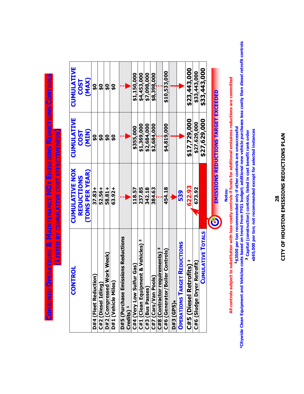CITY OF HOUSTON EMISSIONS REDUCTIONS PLAN 28

4\$65,000 per ton; not recommended except for selected instances

<sup>3</sup> Capital (construction) controls, listed in cost benefit rank order

<sup>1</sup>\$3500 per ton-mendam and verticles costs based on trend from FY01 budget; aditional new vehicle purchases less costly than diesel retrofit controls<br>Pitywide Clean Equipment and Vehicles costs based on trend from FY01 bu

All controls subject to substitution with less-costly controls if funds for additional emissions reductions are committed

Notes:

| <b>NTROL</b><br>8                                                | <b>CUMULATIVE NOX</b> | <b>CUMULATIVE</b>                    | <b>CUMULATIVE</b> |
|------------------------------------------------------------------|-----------------------|--------------------------------------|-------------------|
|                                                                  | REDUCTIONS            | $\overline{\text{COS}}$              | <b>COST</b>       |
|                                                                  | <b>TONS PER YEAR)</b> | (MIN)                                | (MAX)             |
| <b>D#4 (Fleet Reduction)</b>                                     | $37.83 +$             | <u>ဝှ</u>                            | <u>ፍ</u>          |
| ត<br>C#2 (Diesel Idlin                                           | 52.56+                | <u>ទ</u>                             | ር<br>የ            |
| D#2 (Compressed Work Week)                                       | 58.81+                | <u>ទ្</u>                            | <u>ទ្</u>         |
| D#1 (Vehicle Miles)                                              | 63.92+                | <u>ទ្</u>                            | <u>ฉ</u>          |
| missions Reductions<br>D#5 (Purchase Er<br>Credits) <sup>1</sup> |                       |                                      |                   |
| C#4 (Very Low Sulfur Gas)                                        | 118.57                | \$355,000                            | \$1,150,000       |
| C#1 (Clean Equipment & Vehicles) <sup>2</sup>                    | 237.85                | \$1,369,000                          | \$4,453,000       |
| C#3 (Bus Passes)                                                 | 342.18                | \$2,684,000                          | \$7,098,000       |
| ools)<br>C#7 (Cars/Van Po                                        | 384.63                | \$2,684,000                          | \$8,398,000       |
| M<br>requirements)<br>C#8 (Contractor                            |                       |                                      |                   |
| Boiler Controls)<br>C#6 (Generator/                              | 454.18                | \$4,819,000                          | \$10,533,000      |
| <b>D#3 (GPS)4</b>                                                |                       |                                      |                   |
| <b>OPERATIONS TARGET REDUCTIONS</b>                              | თ<br>5<br>ს           |                                      |                   |
| C#5 (Diesel Retrofits) <sup>2</sup>                              | 622.93                | \$17,729,000                         | \$23,443,000      |
| C#6 (Sludge Dryer Retrofit)                                      | 673.92                | \$27.629,000                         | \$33,443,000      |
| <b>CUMULATIVE TOTALS</b>                                         |                       | \$27,629,000                         | \$33,443,000      |
|                                                                  |                       |                                      |                   |
|                                                                  |                       | EMISSIONS REDUCTIONS TARGET EXCEEDED |                   |

COMBINED OPERATIONS & MAINTENANCE NOX EMISSIONS REDUCTIONS CONTROLS

(LISTED BY CUMULATIVE COST EFFECTIVENESS)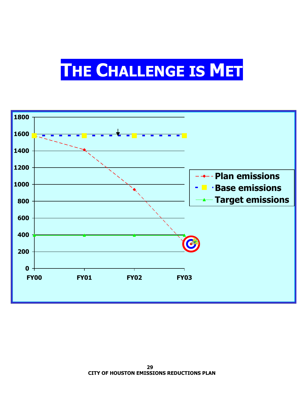# THE CHALLENGE IS MET

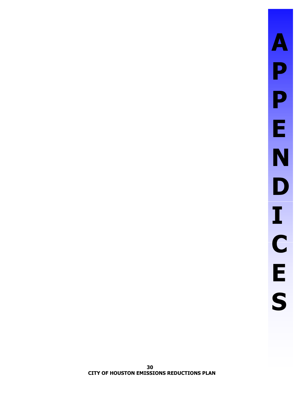# $\boldsymbol{\mathsf{A}}$ P P E<br>N D I<br>C<br>E<br>S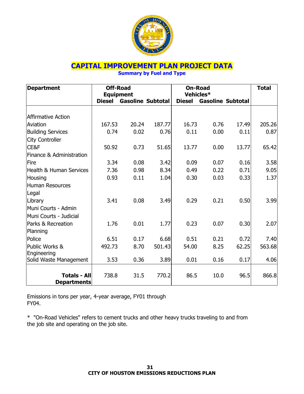

# **CAPITAL IMPROVEMENT PLAN PROJECT DATA**

**Summary by Fuel and Type** 

| <b>Department</b>         |               | <b>Off-Road</b><br><b>Equipment</b> |        |               | <b>On-Road</b><br>Vehicles* |       | <b>Total</b> |
|---------------------------|---------------|-------------------------------------|--------|---------------|-----------------------------|-------|--------------|
|                           | <b>Diesel</b> | <b>Gasoline Subtotal</b>            |        | <b>Diesel</b> | <b>Gasoline Subtotal</b>    |       |              |
|                           |               |                                     |        |               |                             |       |              |
| <b>Affirmative Action</b> |               |                                     |        |               |                             |       |              |
| Aviation                  | 167.53        | 20.24                               | 187.77 | 16.73         | 0.76                        | 17.49 | 205.26       |
| <b>Building Services</b>  | 0.74          | 0.02                                | 0.76   | 0.11          | 0.00                        | 0.11  | 0.87         |
| <b>City Controller</b>    |               |                                     |        |               |                             |       |              |
| CE&F                      | 50.92         | 0.73                                | 51.65  | 13.77         | 0.00                        | 13.77 | 65.42        |
| Finance & Administration  |               |                                     |        |               |                             |       |              |
| Fire                      | 3.34          | 0.08                                | 3.42   | 0.09          | 0.07                        | 0.16  | 3.58         |
| Health & Human Services   | 7.36          | 0.98                                | 8.34   | 0.49          | 0.22                        | 0.71  | 9.05         |
| Housing                   | 0.93          | 0.11                                | 1.04   | 0.30          | 0.03                        | 0.33  | 1.37         |
| <b>Human Resources</b>    |               |                                     |        |               |                             |       |              |
| Legal                     |               |                                     |        |               |                             |       |              |
| Library                   | 3.41          | 0.08                                | 3.49   | 0.29          | 0.21                        | 0.50  | 3.99         |
| Muni Courts - Admin       |               |                                     |        |               |                             |       |              |
| Muni Courts - Judicial    |               |                                     |        |               |                             |       |              |
| Parks & Recreation        | 1.76          | 0.01                                | 1.77   | 0.23          | 0.07                        | 0.30  | 2.07         |
| Planning                  |               |                                     |        |               |                             |       |              |
| Police                    | 6.51          | 0.17                                | 6.68   | 0.51          | 0.21                        | 0.72  | 7.40         |
| Public Works &            | 492.73        | 8.70                                | 501.43 | 54.00         | 8.25                        | 62.25 | 563.68       |
| Engineering               |               |                                     |        |               |                             |       |              |
| Solid Waste Management    | 3.53          | 0.36                                | 3.89   | 0.01          | 0.16                        | 0.17  | 4.06         |
|                           |               |                                     |        |               |                             |       |              |
| <b>Totals - All</b>       | 738.8         | 31.5                                | 770.2  | 86.5          | 10.0                        | 96.5  | 866.8        |
| <b>Departments</b>        |               |                                     |        |               |                             |       |              |

Emissions in tons per year, 4-year average, FY01 through FY04.

\* "On-Road Vehicles" refers to cement trucks and other heavy trucks traveling to and from the job site and operating on the job site.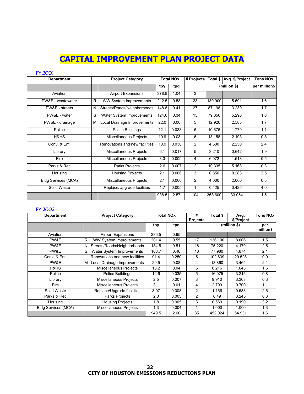# **CAPITAL IMPROVEMENT PLAN PROJECT DATA**

#### FY 2001

| <b>Department</b>          |   | <b>Project Category</b>        |       | <b>Total NOx</b> |                |         | # Projects   Total \$   Avg. \$/Project | <b>Tons NOx</b> |
|----------------------------|---|--------------------------------|-------|------------------|----------------|---------|-----------------------------------------|-----------------|
|                            |   |                                | tpy   | tpd              |                |         | (million \$)                            | per million\$   |
| Aviation                   |   | <b>Airport Expansions</b>      | 378.8 | 1.04             | 3              |         |                                         |                 |
| PW&E - wastewater          | R | <b>WW System Improvements</b>  | 212.5 | 0.58             | 23             | 130.900 | 5.691                                   | 1.6             |
| PW&E - streets             | N | Streets/Roads/Neighborhoods    | 148.8 | 0.41             | 27             | 87.198  | 3.230                                   | 1.7             |
| PW&E - water               | S | Water System Improvements      | 124.6 | 0.34             | 15             | 79.350  | 5.290                                   | 1.6             |
| PW&E - drainage            | M | Local Drainage Improvements    | 22.0  | 0.06             | 5              | 12.926  | 2.585                                   | 1.7             |
| Police                     |   | Police Buildings               | 12.1  | 0.033            | 6              | 10.676  | 1.779                                   | 1.1             |
| H&HS                       |   | Miscellaneous Projects         | 10.9  | 0.03             | 6              | 13.158  | 2.193                                   | 0.8             |
| Conv. & Ent.               |   | Renovations and new facilities | 10.9  | 0.030            | $\overline{2}$ | 4.500   | 2.250                                   | 2.4             |
| Library                    |   | Miscellaneous Projects         | 6.1   | 0.017            | 5              | 3.210   | 0.642                                   | 1.9             |
| Fire                       |   | Miscellaneous Projects         | 3.3   | 0.009            | 4              | 6.072   | 1.518                                   | 0.5             |
| Parks & Rec                |   | Parks Projects                 | 2.6   | 0.007            | $\overline{2}$ | 10.335  | 5.168                                   | 0.3             |
| Housing                    |   | <b>Housing Projects</b>        | 2.1   | 0.006            | 3              | 0.850   | 0.283                                   | 2.5             |
| <b>Bldg Services (MCA)</b> |   | Miscellaneous Projects         | 2.1   | 0.006            | $\overline{2}$ | 4.000   | 2.000                                   | 0.5             |
| Solid Waste                |   | Replace/Upgrade facilities     | 1.7   | 0.005            | 1              | 0.425   | 0.425                                   | 4.0             |
|                            |   |                                | 938.5 | 2.57             | 104            | 363.600 | 33.054                                  | 1.5             |

#### FY 2002

| <b>Department</b>          |   | <b>Project Category</b>        |       | Total NOx | #<br><b>Projects</b> | Total \$ | Avg.<br>\$/Project | <b>Tons NOx</b>  |
|----------------------------|---|--------------------------------|-------|-----------|----------------------|----------|--------------------|------------------|
|                            |   |                                | tpy   | tpd       |                      |          | (million \$)       | per<br>million\$ |
| Aviation                   |   | <b>Airport Expansions</b>      | 236.5 | 0.65      |                      |          |                    |                  |
| PW&E                       | R | <b>WW Syatem Improvements</b>  | 201.4 | 0.55      | 17                   | 136.100  | 8.006              | 1.5              |
| PW&E                       | N | Streets/Roads/Neighborhoods    | 184.5 | 0.51      | 18                   | 75.220   | 4.179              | 2.5              |
| PW&E                       | S | Water System Improvements      | 166.7 | 0.46      | 16                   | 77.980   | 4.874              | 2.1              |
| Conv. & Ent.               |   | Renovations and new facilities | 91.4  | 0.250     | 5                    | 102.639  | 20.528             | 0.9              |
| PW&E                       | м | Local Drainage Improvements    | 29.5  | 0.08      | 4                    | 13.860   | 3.465              | 2.1              |
| H&HS                       |   | Miscellaneous Projects         | 13.2  | 0.04      | 5                    | 8.216    | 1.643              | 1.6              |
| Police                     |   | Police Buildings               | 12.6  | 0.035     | 5                    | 16.075   | 3.215              | 0.8              |
| Library                    |   | Miscellaneous Projects         | 2.5   | 0.007     | 3                    | 9.910    | 3.303              | 0.3              |
| Fire                       |   | Miscellaneous Projects         | 3.1   | 0.01      | 4                    | 2.799    | 0.700              | 1.1              |
| Solid Waste                |   | Replace/Upgrade facilities     | 3.07  | 0.008     | 2                    | 1.166    | 0.583              | 2.6              |
| Parks & Rec                |   | Parks Projects                 | 2.0   | 0.005     | 2                    | 6.49     | 3.245              | 0.3              |
| Housing                    |   | <b>Housing Projects</b>        | 1.8   | 0.005     | 3                    | 0.569    | 0.190              | 3.2              |
| <b>Bldg Services (MCA)</b> |   | Miscellaneous Projects         | 1.3   | 0.004     |                      | 1.000    | 1.000              | 1.3              |
|                            |   |                                | 949.5 | 2.60      | 85                   | 452.024  | 54.931             | 1.6              |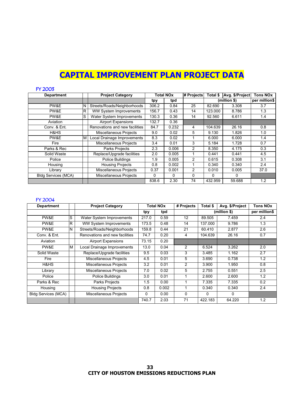# **CAPITAL IMPROVEMENT PLAN PROJECT DATA**

| <b>FY 2003</b>             |    |                                |          |                  |              |          |                 |                 |
|----------------------------|----|--------------------------------|----------|------------------|--------------|----------|-----------------|-----------------|
| <b>Department</b>          |    | <b>Project Category</b>        |          | <b>Total NOx</b> | # Projects   | Total \$ | Avg. \$/Project | <b>Tons NOx</b> |
|                            |    |                                | tpy      | tpd              |              |          | (million \$)    | per million\$   |
| PW&E                       | N  | Streets/Roads/Neighborhoods    | 306.2    | 0.84             | 25           | 82.690   | 3.308           | 3.7             |
| PW&E                       | R. | <b>WW System Improvements</b>  | 156.7    | 0.43             | 14           | 123.000  | 8.786           | 1.3             |
| PW&E                       | lS | Water System Improvements      | 130.3    | 0.36             | 14           | 92.560   | 6.611           | 1.4             |
| Aviation                   |    | <b>Airport Expansions</b>      | 132.7    | 0.36             |              |          |                 |                 |
| Conv. & Ent.               |    | Renovations and new facilities | 84.7     | 0.232            | 4            | 104.639  | 26.16           | 0.8             |
| H&HS                       |    | Miscellaneous Projects         | 9.0      | 0.02             | 5            | 9.130    | 1.826           | 1.0             |
| PW&E                       | M  | Local Drainage Improvements    | 8.3      | 0.02             |              | 6.000    | 6.000           | 1.4             |
| Fire                       |    | Miscellaneous Projects         | 3.4      | 0.01             | 3            | 5.184    | 1.728           | 0.7             |
| Parks & Rec                |    | Parks Projects                 | 2.3      | 0.006            | 2            | 8.350    | 4.175           | 0.3             |
| Solid Waste                |    | Replace/Upgrade facilities     | 2.0      | 0.005            |              | 0.441    | 0.441           | 4.5             |
| Police                     |    | Police Buildings               | 1.9      | 0.005            | 2            | 0.615    | 0.308           | 3.1             |
| Housing                    |    | <b>Housing Projects</b>        | 0.8      | 0.002            |              | 0.340    | 0.340           | 2.4             |
| Library                    |    | Miscellaneous Projects         | 0.37     | 0.001            | 2            | 0.010    | 0.005           | 37.0            |
| <b>Bldg Services (MCA)</b> |    | Miscellaneous Projects         | $\Omega$ | $\Omega$         | $\mathbf{0}$ | $\Omega$ | $\Omega$        |                 |
|                            |    |                                | 838.6    | 2.30             | 74           | 432.959  | 59.688          | 1.2             |

#### FY 2004

| <b>Department</b>          |   | <b>Project Category</b>        | <b>Total NOx</b> |       | # Projects     | Total \$     | Avg. \$/Project | <b>Tons NOx</b> |
|----------------------------|---|--------------------------------|------------------|-------|----------------|--------------|-----------------|-----------------|
|                            |   |                                | tpy              | tpd   |                |              | (million \$)    | per million\$   |
| PW&E                       | S | Water System Improvements      | 217.0            | 0.59  | 12             | 89.505       | 7.459           | 2.4             |
| PW&E                       | R | <b>WW System Improvements</b>  | 173.5            | 0.48  | 14             | 137.000      | 9.786           | 1.3             |
| PW&E                       | N | Streets/Roads/Neighborhoods    | 159.8            | 0.44  | 21             | 60.410       | 2.877           | 2.6             |
| Conv. & Ent.               |   | Renovations and new facilities | 74.7             | 0.20  | 4              | 104.639      | 26.16           | 0.7             |
| Aviation                   |   | <b>Airport Expansions</b>      | 73.15            | 0.20  |                |              |                 |                 |
| PW&E                       | M | Local Drainage Improvements    | 13.0             | 0.04  | 2              | 6.524        | 3.262           | 2.0             |
| Solid Waste                |   | Replace/Upgrade facilities     | 9.5              | 0.03  | 3              | 3.485        | 1.162           | 2.7             |
| Fire                       |   | Miscellaneous Projects         | 4.5              | 0.01  | 5              | 3.690        | 0.738           | 1.2             |
| H&HS                       |   | Miscellaneous Projects         | 3.2              | 0.01  | $\overline{2}$ | 3.900        | 1.950           | 0.8             |
| Library                    |   | Miscellaneous Projects         | 7.0              | 0.02  | 5              | 2.755        | 0.551           | 2.5             |
| Police                     |   | Police Buildings               | 3.0              | 0.01  |                | 2.600        | 2.600           | 1.2             |
| Parks & Rec                |   | Parks Projects                 | 1.5              | 0.00  |                | 7.335        | 7.335           | 0.2             |
| Housing                    |   | <b>Housing Projects</b>        | 0.8              | 0.002 |                | 0.340        | 0.340           | 2.4             |
| <b>Bldg Services (MCA)</b> |   | Miscellaneous Projects         | $\Omega$         | 0.00  | $\Omega$       | $\mathbf{0}$ | 0               |                 |
|                            |   |                                | 740.7            | 2.03  | 71             | 422.183      | 64.220          | 1.2             |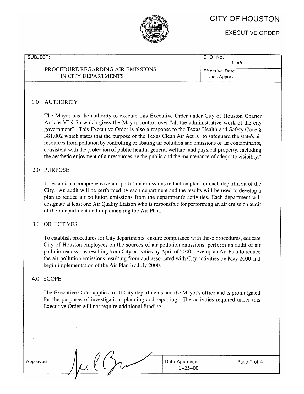# **CITY OF HOUSTON**

**EXECUTIVE ORDER** 

#### SUBJECT:

# PROCEDURE REGARDING AIR EMISSIONS IN CITY DEPARTMENTS

E. O. No.  $1 - 45$ 

**Effective Date** Upon Approval

# 1.0 AUTHORITY

The Mayor has the authority to execute this Executive Order under City of Houston Charter Article VI § 7a which gives the Mayor control over "all the administrative work of the city government". This Executive Order is also a response to the Texas Health and Safety Code § 381.002 which states that the purpose of the Texas Clean Air Act is "to safeguard the state's air resources from pollution by controlling or abating air pollution and emissions of air contaminants, consistent with the protection of public health, general welfare, and physical property, including the aesthetic enjoyment of air resources by the public and the maintenance of adequate visibility."

# 2.0 PURPOSE

To establish a comprehensive air pollution emissions reduction plan for each department of the City. An audit will be performed by each department and the results will be used to develop a plan to reduce air pollution emissions from the department's activities. Each department will designate at least one Air Quality Liaison who is responsible for performing an air emission audit of their department and implementing the Air Plan.

# 3.0 OBJECTIVES

To establish procedures for City departments, ensure compliance with these procedures, educate City of Houston employees on the sources of air pollution emissions, perform an audit of air pollution emissions resulting from City activities by April of 2000, develop an Air Plan to reduce the air pollution emissions resulting from and associated with City activities by May 2000 and begin implementation of the Air Plan by July 2000.

# 4.0 SCOPE

The Executive Order applies to all City departments and the Mayor's office and is promulgated for the purposes of investigation, planning and reporting. The activities required under this Executive Order will not require additional funding.

| Approved |
|----------|
|----------|

|  | Date Approved<br>$1 - 25 - 00$ |  |
|--|--------------------------------|--|
|  |                                |  |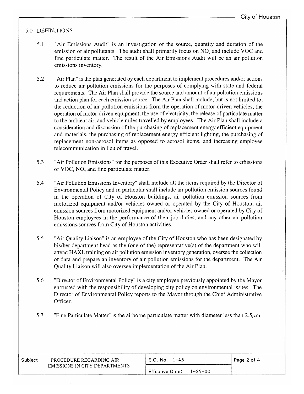# 5.0 DEFINITIONS

- $5.1$ "Air Emissions Audit" is an investigation of the source, quantity and duration of the emission of air pollutants. The audit shall primarily focus on NO<sub>x</sub> and include VOC and fine particulate matter. The result of the Air Emissions Audit will be an air pollution emissions inventory.
- $5.2$ "Air Plan" is the plan generated by each department to implement procedures and/or actions to reduce air pollution emissions for the purposes of complying with state and federal requirements. The Air Plan shall provide the source and amount of air pollution emissions and action plan for each emission source. The Air Plan shall include, but is not limited to, the reduction of air pollution emissions from the operation of motor-driven vehicles, the operation of motor-driven equipment, the use of electricity, the release of particulate matter to the ambient air, and vehicle miles travelled by employees. The Air Plan shall include a consideration and discussion of the purchasing of replacement energy efficient equipment and materials, the purchasing of replacement energy efficient lighting, the purchasing of replacement non-aerosol items as opposed to aerosol items, and increasing employee telecommunication in lieu of travel.
- 5.3 "Air Pollution Emissions" for the purposes of this Executive Order shall refer to emissions of VOC, NO<sub>x</sub> and fine particulate matter.
- 5.4 "Air Pollution Emissions Inventory" shall include all the items required by the Director of Environmental Policy and in particular shall include air pollution emission sources found in the operation of City of Houston buildings, air pollution emission sources from motorized equipment and/or vehicles owned or operated by the City of Houston, air emission sources from motorized equipment and/or vehicles owned or operated by City of Houston employees in the performance of their job duties, and any other air pollution emissions sources from City of Houston activities.
- $5.5$ "Air Quality Liaison" is an employee of the City of Houston who has been designated by his/her department head as the (one of the) representative(s) of the department who will attend HAXL training on air pollution emission inventory generation, oversee the collection of data and prepare an inventory of air pollution emissions for the department. The Air Quality Liaison will also oversee implementation of the Air Plan.
- 5.6 "Director of Environmental Policy" is a city employee previously appointed by the Mayor entrusted with the responsibility of developing city policy on environmental issues. The Director of Environmental Policy reports to the Mayor through the Chief Administrative Officer.
- 5.7 "Fine Particulate Matter" is the airborne particulate matter with diameter less than  $2.5\mu$ m.

| Subject | PROCEDURE REGARDING AIR              | E.O. No. 1–45          | Page 2 of 4   |  |
|---------|--------------------------------------|------------------------|---------------|--|
|         | <b>EMISSIONS IN CITY DEPARTMENTS</b> | <b>Effective Date:</b> | $1 - 25 - 00$ |  |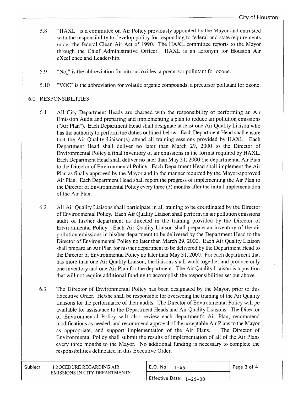- "HAXL" is a committee on Air Policy previously appointed by the Mayor and entrusted 5.8 with the responsibility to develop policy for responding to federal and state requirements under the federal Clean Air Act of 1990. The HAXL committee reports to the Mayor through the Chief Administrative Officer. HAXL is an acronym for Houston Air eXcellence and Leadership.
- 5.9 "No," is the abbreviation for nitrous oxides, a precursor pollutant for ozone.
- "VOC" is the abbreviation for volatile organic compounds, a precursor pollutant for ozone.  $5.10$

# **6.0 RESPONSIBILITIES**

- $6.1$ All City Department Heads are charged with the responsibility of performing an Air Emission Audit and preparing and implementing a plan to reduce air pollution emissions ("Air Plan"). Each Department Head shall designate at least one Air Quality Liaison who has the authority to perform the duties outlined below. Each Department Head shall ensure that the Air Quality Liaison(s) attend all training sessions provided by HAXL. Each Department Head shall deliver no later than March 29, 2000 to the Director of Environmental Policy a final inventory of air emissions in the format required by HAXL. Each Department Head shall deliver no later than May 31, 2000 the departmental Air Plan to the Director of Environmental Policy. Each Department Head shall implement the Air Plan as finally approved by the Mayor and in the manner required by the Mayor-approved Air Plan. Each Department Head shall report the progress of implementing the Air Plan to the Director of Environmental Policy every three (3) months after the initial implementation of the Air Plan.
- 6.2 All Air Quality Liaisons shall participate in all training to be coordinated by the Director of Environmental Policy. Each Air Quality Liaison shall perform an air pollution emissions audit of his/her department as directed in the training provided by the Director of Environmental Policy. Each Air Quality Liaison shall prepare an inventory of the air pollution emissions in his/her department to be delivered by the Department Head to the Director of Environmental Policy no later than March 29, 2000. Each Air Quality Liaison shall prepare an Air Plan for his/her department to be delivered by the Department Head to the Director of Environmental Policy no later than May 31, 2000. For each department that has more than one Air Quality Liaison, the liaisons shall work together and produce only one inventory and one Air Plan for the department. The Air Quality Liaison is a position that will not require additional funding to accomplish the responsibilities set out above.
- 6.3 The Director of Environmental Policy has been designated by the Mayor, prior to this Executive Order. He/she shall be responsible for overseeing the training of the Air Quality Liaisons for the performance of their audits. The Director of Environmental Policy will be available for assistance to the Department Heads and Air Quality Liaisons. The Director of Environmental Policy will also review each department's Air Plan, recommend modifications as needed, and recommend approval of the acceptable Air Plans to the Mayor as appropriate, and support implementation of the Air Plans. The Director of Environmental Policy shall submit the results of implementation of all of the Air Plans every three months to the Mayor. No additional funding is necessary to complete the responsibilities delineated in this Executive Order.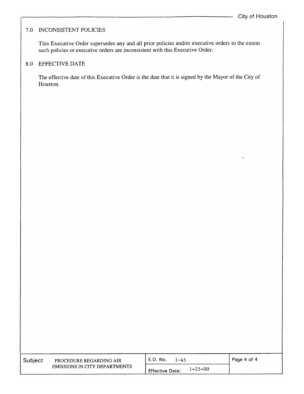## 7.0 INCONSISTENT POLICIES

This Executive Order supersedes any and all prior policies and/or executive orders to the extent such policies or executive orders are inconsistent with this Executive Order.

# 8.0 EFFECTIVE DATE

The effective date of this Executive Order is the date that it is signed by the Mayor of the City of Houston.

| Subject | PROCEDURE REGARDING AIR       | - E.O. No.<br>1–45                      | Page 4 of 4 |
|---------|-------------------------------|-----------------------------------------|-------------|
|         | EMISSIONS IN CITY DEPARTMENTS | $1 - 25 - 00$<br><b>Effective Date:</b> |             |